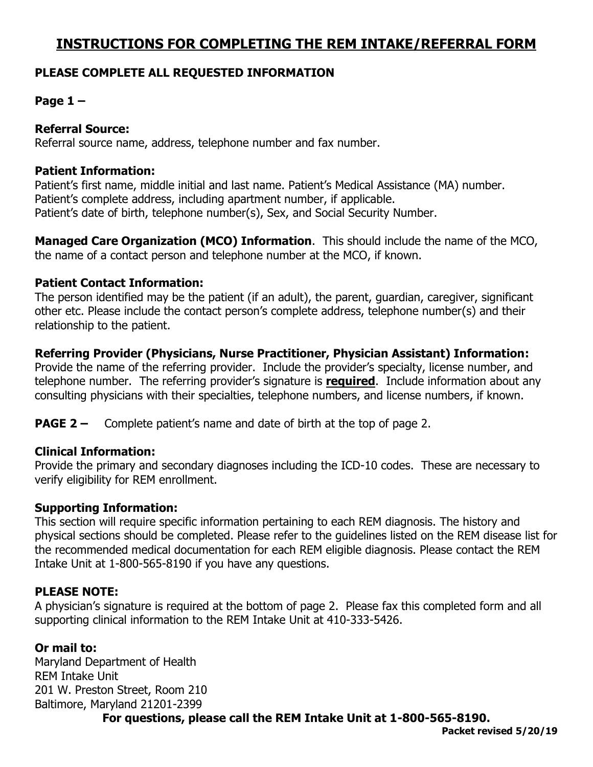## **INSTRUCTIONS FOR COMPLETING THE REM INTAKE/REFERRAL FORM**

### **PLEASE COMPLETE ALL REQUESTED INFORMATION**

## **Page 1 –**

#### **Referral Source:**

Referral source name, address, telephone number and fax number.

#### **Patient Information:**

Patient's first name, middle initial and last name. Patient's Medical Assistance (MA) number. Patient's complete address, including apartment number, if applicable. Patient's date of birth, telephone number(s), Sex, and Social Security Number.

**Managed Care Organization (MCO) Information**. This should include the name of the MCO, the name of a contact person and telephone number at the MCO, if known.

#### **Patient Contact Information:**

The person identified may be the patient (if an adult), the parent, guardian, caregiver, significant other etc. Please include the contact person's complete address, telephone number(s) and their relationship to the patient.

#### **Referring Provider (Physicians, Nurse Practitioner, Physician Assistant) Information:**

Provide the name of the referring provider. Include the provider's specialty, license number, and telephone number. The referring provider's signature is **required**. Include information about any consulting physicians with their specialties, telephone numbers, and license numbers, if known.

**PAGE 2 –** Complete patient's name and date of birth at the top of page 2.

#### **Clinical Information:**

Provide the primary and secondary diagnoses including the ICD-10 codes. These are necessary to verify eligibility for REM enrollment.

#### **Supporting Information:**

This section will require specific information pertaining to each REM diagnosis. The history and physical sections should be completed. Please refer to the guidelines listed on the REM disease list for the recommended medical documentation for each REM eligible diagnosis. Please contact the REM Intake Unit at 1-800-565-8190 if you have any questions.

#### **PLEASE NOTE:**

A physician's signature is required at the bottom of page 2. Please fax this completed form and all supporting clinical information to the REM Intake Unit at 410-333-5426.

#### **Or mail to:**

Maryland Department of Health REM Intake Unit 201 W. Preston Street, Room 210 Baltimore, Maryland 21201-2399

**For questions, please call the REM Intake Unit at 1-800-565-8190.**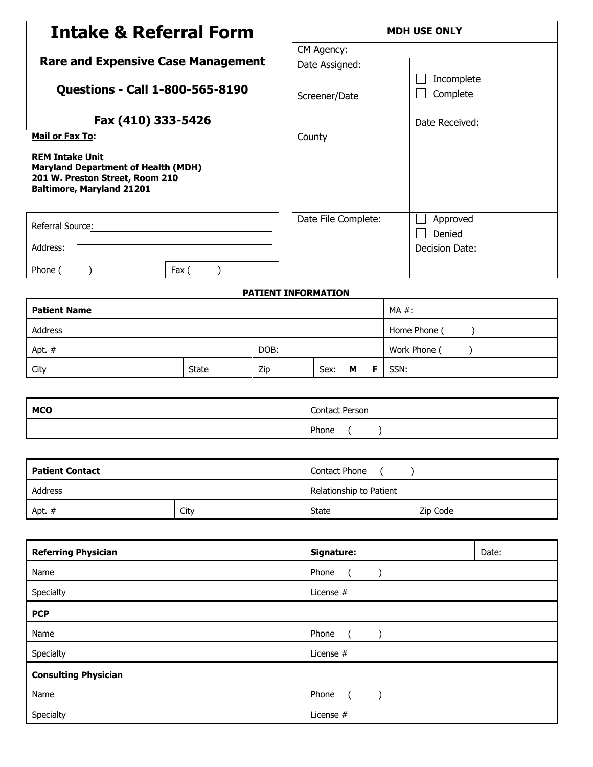| <b>Intake &amp; Referral Form</b>                                                                                                           |                        |                | <b>MDH USE ONLY</b>       |                               |                |          |
|---------------------------------------------------------------------------------------------------------------------------------------------|------------------------|----------------|---------------------------|-------------------------------|----------------|----------|
|                                                                                                                                             |                        |                | CM Agency:                |                               |                |          |
| <b>Rare and Expensive Case Management</b>                                                                                                   |                        | Date Assigned: |                           |                               |                |          |
|                                                                                                                                             |                        |                |                           | Incomplete                    |                |          |
| <b>Questions - Call 1-800-565-8190</b>                                                                                                      |                        |                | Screener/Date             |                               |                | Complete |
| Fax (410) 333-5426                                                                                                                          |                        |                | Date Received:            |                               |                |          |
| <b>Mail or Fax To:</b>                                                                                                                      |                        |                | County                    |                               |                |          |
| <b>REM Intake Unit</b><br><b>Maryland Department of Health (MDH)</b><br>201 W. Preston Street, Room 210<br><b>Baltimore, Maryland 21201</b> |                        |                |                           |                               |                |          |
| Referral Source:                                                                                                                            |                        |                | Date File Complete:       |                               | Approved       |          |
|                                                                                                                                             |                        |                |                           |                               | Denied         |          |
| Address:                                                                                                                                    |                        |                |                           |                               | Decision Date: |          |
| Phone (<br>$\mathcal{L}$                                                                                                                    | Fax (<br>$\mathcal{E}$ |                |                           |                               |                |          |
|                                                                                                                                             |                        |                | PATIENT INFORMATION       |                               |                |          |
| <b>Patient Name</b>                                                                                                                         |                        |                |                           | MA #:                         |                |          |
| Address                                                                                                                                     |                        |                |                           | Home Phone (<br>$\mathcal{E}$ |                |          |
| DOB:<br>Apt. #                                                                                                                              |                        |                |                           | Work Phone (<br>$\lambda$     |                |          |
| City                                                                                                                                        | <b>State</b>           | Zip            | SSN:<br>Sex:<br>М<br>F.   |                               |                |          |
|                                                                                                                                             |                        |                |                           |                               |                |          |
| <b>MCO</b>                                                                                                                                  |                        |                | Contact Person            |                               |                |          |
|                                                                                                                                             |                        |                | Phone<br>$\left($         | $\lambda$                     |                |          |
|                                                                                                                                             |                        |                |                           |                               |                |          |
| <b>Patient Contact</b>                                                                                                                      |                        |                | Contact Phone (           |                               | $\lambda$      |          |
| Address                                                                                                                                     |                        |                |                           | Relationship to Patient       |                |          |
| Apt. $#$                                                                                                                                    | City                   |                | <b>State</b>              |                               | Zip Code       |          |
|                                                                                                                                             |                        |                |                           |                               |                |          |
| <b>Referring Physician</b>                                                                                                                  |                        |                | Signature:                |                               |                | Date:    |
| Name                                                                                                                                        |                        |                | Phone<br>$\overline{(\ }$ | $\lambda$                     |                |          |
| Specialty                                                                                                                                   |                        |                | License #                 |                               |                |          |
| <b>PCP</b>                                                                                                                                  |                        |                |                           |                               |                |          |
| Name                                                                                                                                        |                        |                | Phone<br>$\overline{a}$   | $\mathcal{E}$                 |                |          |
| Specialty                                                                                                                                   |                        |                | License #                 |                               |                |          |
|                                                                                                                                             |                        |                |                           |                               |                |          |

| <b>Consulting Physician</b> |           |  |
|-----------------------------|-----------|--|
| Name                        | Phone     |  |
| Specialty                   | License # |  |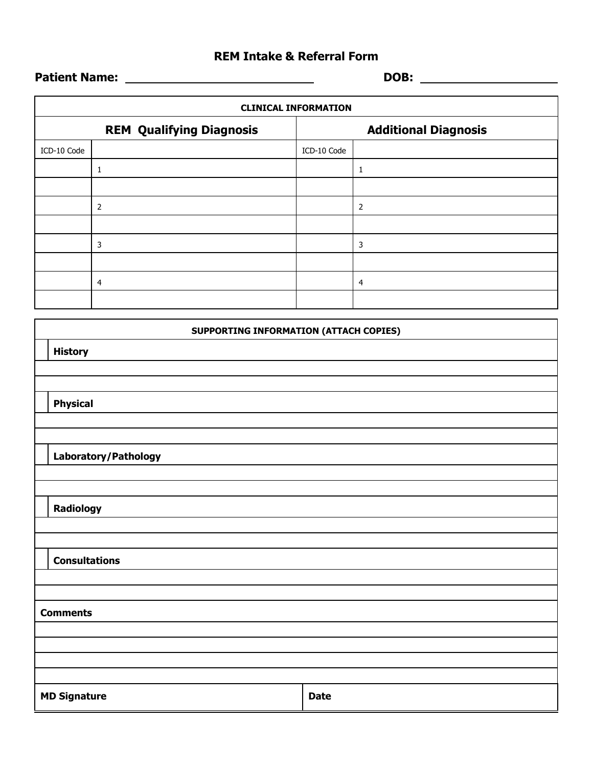## **REM Intake & Referral Form**

**Patient Name: DOB:** 

| <b>CLINICAL INFORMATION</b> |                                               |             |                             |  |  |
|-----------------------------|-----------------------------------------------|-------------|-----------------------------|--|--|
|                             | <b>REM Qualifying Diagnosis</b>               |             | <b>Additional Diagnosis</b> |  |  |
| ICD-10 Code                 |                                               | ICD-10 Code |                             |  |  |
|                             | $\mathbf{1}$                                  |             | $\mathbf 1$                 |  |  |
|                             |                                               |             |                             |  |  |
|                             | $\mathbf 2$                                   |             | $\mathbf 2$                 |  |  |
|                             |                                               |             |                             |  |  |
|                             | 3                                             |             | $\mathsf 3$                 |  |  |
|                             |                                               |             |                             |  |  |
|                             | $\overline{\mathbf{4}}$                       |             | $\overline{\mathbf{4}}$     |  |  |
|                             |                                               |             |                             |  |  |
|                             | <b>SUPPORTING INFORMATION (ATTACH COPIES)</b> |             |                             |  |  |
|                             |                                               |             |                             |  |  |
| <b>History</b>              |                                               |             |                             |  |  |
|                             |                                               |             |                             |  |  |
| <b>Physical</b>             |                                               |             |                             |  |  |
|                             |                                               |             |                             |  |  |
|                             |                                               |             |                             |  |  |
|                             | Laboratory/Pathology                          |             |                             |  |  |
|                             |                                               |             |                             |  |  |
|                             |                                               |             |                             |  |  |
| <b>Radiology</b>            |                                               |             |                             |  |  |
|                             |                                               |             |                             |  |  |
| <b>Consultations</b>        |                                               |             |                             |  |  |
|                             |                                               |             |                             |  |  |
|                             |                                               |             |                             |  |  |
| <b>Comments</b>             |                                               |             |                             |  |  |
|                             |                                               |             |                             |  |  |
|                             |                                               |             |                             |  |  |
|                             |                                               |             |                             |  |  |
| <b>MD Signature</b>         |                                               | <b>Date</b> |                             |  |  |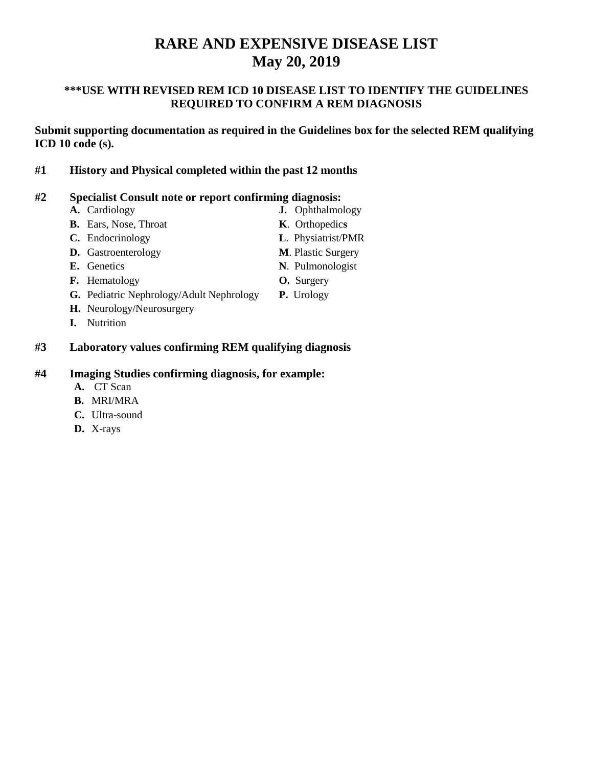# **RARE AND EXPENSIVE DISEASE LIST May 20, 2019**

#### **\*\*\*USE WITH REVISED REM ICD 10 DISEASE LIST TO IDENTIFY THE GUIDELINES REQUIRED TO CONFIRM A REM DIAGNOSIS**

**Submit supporting documentation as required in the Guidelines box for the selected REM qualifying ICD 10 code (s).**

**#1 History and Physical completed within the past 12 months** 

## **#2 Specialist Consult note or report confirming diagnosis:**

| A. Cardiology                            | <b>J.</b> Ophthalmology   |
|------------------------------------------|---------------------------|
| <b>B.</b> Ears, Nose, Throat             | K. Orthopedics            |
| C. Endocrinology                         | L. Physiatrist/PMR        |
| <b>D.</b> Gastroenterology               | <b>M.</b> Plastic Surgery |
| E. Genetics                              | N. Pulmonologist          |
| <b>F.</b> Hematology                     | <b>O.</b> Surgery         |
| G. Pediatric Nephrology/Adult Nephrology | P. Urology                |
| H. Neurology/Neurosurgery                |                           |
| <b>Nutrition</b>                         |                           |
|                                          |                           |

#### **#3 Laboratory values confirming REM qualifying diagnosis**

#### **#4 Imaging Studies confirming diagnosis, for example:**

- **A.** CT Scan
- **B.** MRI/MRA
- **C.** Ultra-sound
- **D.** X-rays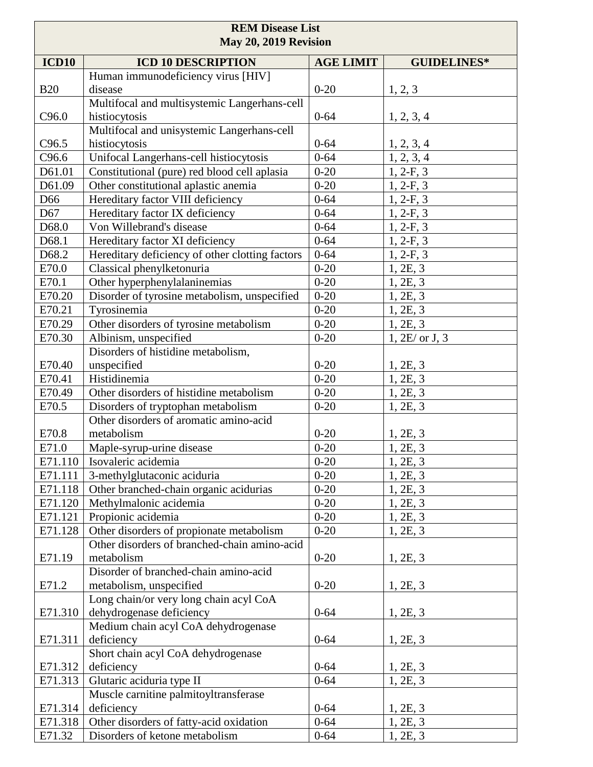| <b>REM Disease List</b><br>May 20, 2019 Revision |                                                   |                  |                      |
|--------------------------------------------------|---------------------------------------------------|------------------|----------------------|
| <b>ICD10</b>                                     | <b>ICD 10 DESCRIPTION</b>                         | <b>AGE LIMIT</b> | <b>GUIDELINES*</b>   |
|                                                  | Human immunodeficiency virus [HIV]                |                  |                      |
| <b>B20</b>                                       | disease                                           | $0 - 20$         | 1, 2, 3              |
|                                                  | Multifocal and multisystemic Langerhans-cell      |                  |                      |
| C96.0                                            | histiocytosis                                     | $0 - 64$         | 1, 2, 3, 4           |
|                                                  | Multifocal and unisystemic Langerhans-cell        |                  |                      |
| C <sub>96.5</sub>                                | histiocytosis                                     | $0 - 64$         | 1, 2, 3, 4           |
| C96.6                                            | Unifocal Langerhans-cell histiocytosis            | $0 - 64$         | 1, 2, 3, 4           |
| D61.01                                           | Constitutional (pure) red blood cell aplasia      | $0 - 20$         | $1, 2-F, 3$          |
| D61.09                                           | Other constitutional aplastic anemia              | $0 - 20$         | $1, 2-F, 3$          |
| D66                                              | Hereditary factor VIII deficiency                 | $0 - 64$         | $1, 2-F, 3$          |
| D67                                              | Hereditary factor IX deficiency                   | $0 - 64$         | $1, 2-F, 3$          |
| D68.0                                            | Von Willebrand's disease                          | $0 - 64$         | $1, 2-F, 3$          |
| D68.1                                            | Hereditary factor XI deficiency                   | $0 - 64$         | $1, 2-F, 3$          |
| D68.2                                            | Hereditary deficiency of other clotting factors   | $0 - 64$         | $1, 2-F, 3$          |
| E70.0                                            | Classical phenylketonuria                         | $0 - 20$         | 1, 2E, 3             |
| E70.1                                            | Other hyperphenylalaninemias                      | $0 - 20$         | 1, 2E, 3             |
| E70.20                                           | Disorder of tyrosine metabolism, unspecified      | $0 - 20$         | 1, 2E, 3             |
| E70.21                                           | Tyrosinemia                                       | $0 - 20$         | 1, 2E, 3             |
| E70.29                                           | Other disorders of tyrosine metabolism            | $0 - 20$         | 1, 2E, 3             |
| E70.30                                           | Albinism, unspecified                             | $0 - 20$         | $1, 2E/$ or J, 3     |
| E70.40                                           | Disorders of histidine metabolism,<br>unspecified | $0 - 20$         |                      |
| E70.41                                           | Histidinemia                                      | $0 - 20$         | 1, 2E, 3<br>1, 2E, 3 |
| E70.49                                           | Other disorders of histidine metabolism           | $0 - 20$         | 1, 2E, 3             |
| E70.5                                            | Disorders of tryptophan metabolism                | $0 - 20$         | 1, 2E, 3             |
|                                                  | Other disorders of aromatic amino-acid            |                  |                      |
| E70.8                                            | metabolism                                        | $0 - 20$         | 1, 2E, 3             |
| E71.0                                            | Maple-syrup-urine disease                         | $0 - 20$         | 1, 2E, 3             |
| E71.110                                          | Isovaleric acidemia                               | $0 - 20$         | 1, 2E, 3             |
| E71.111                                          | 3-methylglutaconic aciduria                       | $0 - 20$         | 1, 2E, 3             |
| E71.118                                          | Other branched-chain organic acidurias            | $0 - 20$         | 1, 2E, 3             |
| E71.120                                          | Methylmalonic acidemia                            | $0 - 20$         | 1, 2E, 3             |
| E71.121                                          | Propionic acidemia                                | $0 - 20$         | 1, 2E, 3             |
| E71.128                                          | Other disorders of propionate metabolism          | $0 - 20$         | 1, 2E, 3             |
|                                                  | Other disorders of branched-chain amino-acid      |                  |                      |
| E71.19                                           | metabolism                                        | $0 - 20$         | 1, 2E, 3             |
|                                                  | Disorder of branched-chain amino-acid             |                  |                      |
| E71.2                                            | metabolism, unspecified                           | $0 - 20$         | 1, 2E, 3             |
|                                                  | Long chain/or very long chain acyl CoA            |                  |                      |
| E71.310                                          | dehydrogenase deficiency                          | $0 - 64$         | 1, 2E, 3             |
|                                                  | Medium chain acyl CoA dehydrogenase               |                  |                      |
| E71.311                                          | deficiency                                        | $0 - 64$         | 1, 2E, 3             |
|                                                  | Short chain acyl CoA dehydrogenase                |                  |                      |
| E71.312                                          | deficiency                                        | $0 - 64$         | 1, 2E, 3             |
| E71.313                                          | Glutaric aciduria type II                         | $0 - 64$         | 1, 2E, 3             |
|                                                  | Muscle carnitine palmitoyltransferase             |                  |                      |
| E71.314                                          | deficiency                                        | $0 - 64$         | 1, 2E, 3             |
| E71.318                                          | Other disorders of fatty-acid oxidation           | $0 - 64$         | 1, 2E, 3             |
| E71.32                                           | Disorders of ketone metabolism                    | $0 - 64$         | 1, 2E, 3             |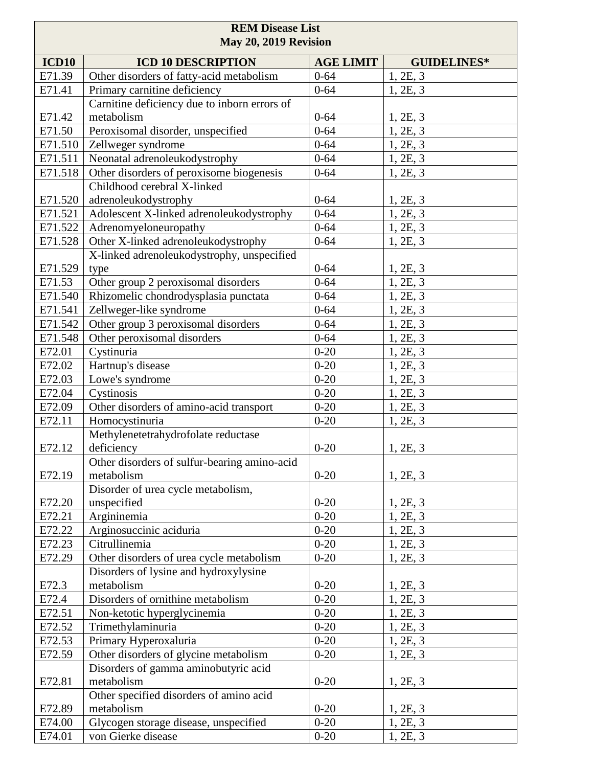| <b>REM Disease List</b><br>May 20, 2019 Revision |                                              |                  |                    |
|--------------------------------------------------|----------------------------------------------|------------------|--------------------|
| <b>ICD10</b>                                     | <b>ICD 10 DESCRIPTION</b>                    | <b>AGE LIMIT</b> | <b>GUIDELINES*</b> |
| E71.39                                           | Other disorders of fatty-acid metabolism     | $0 - 64$         | 1, 2E, 3           |
| E71.41                                           | Primary carnitine deficiency                 | $0 - 64$         | 1, 2E, 3           |
|                                                  | Carnitine deficiency due to inborn errors of |                  |                    |
| E71.42                                           | metabolism                                   | $0 - 64$         | 1, 2E, 3           |
| E71.50                                           | Peroxisomal disorder, unspecified            | $0 - 64$         | 1, 2E, 3           |
| E71.510                                          | Zellweger syndrome                           | $0 - 64$         | 1, 2E, 3           |
| E71.511                                          | Neonatal adrenoleukodystrophy                | $0 - 64$         | 1, 2E, 3           |
| E71.518                                          | Other disorders of peroxisome biogenesis     | $0 - 64$         | 1, 2E, 3           |
|                                                  | Childhood cerebral X-linked                  |                  |                    |
| E71.520                                          | adrenoleukodystrophy                         | $0 - 64$         | 1, 2E, 3           |
| E71.521                                          | Adolescent X-linked adrenoleukodystrophy     | $0 - 64$         | 1, 2E, 3           |
| E71.522                                          | Adrenomyeloneuropathy                        | $0 - 64$         | 1, 2E, 3           |
| E71.528                                          | Other X-linked adrenoleukodystrophy          | $0 - 64$         | 1, 2E, 3           |
|                                                  | X-linked adrenoleukodystrophy, unspecified   |                  |                    |
| E71.529                                          | type                                         | $0 - 64$         | 1, 2E, 3           |
| E71.53                                           | Other group 2 peroxisomal disorders          | $0 - 64$         | 1, 2E, 3           |
| E71.540                                          | Rhizomelic chondrodysplasia punctata         | $0 - 64$         | 1, 2E, 3           |
| E71.541                                          | Zellweger-like syndrome                      | $0 - 64$         | 1, 2E, 3           |
| E71.542                                          | Other group 3 peroxisomal disorders          | $0 - 64$         | 1, 2E, 3           |
| E71.548                                          | Other peroxisomal disorders                  | $0 - 64$         | 1, 2E, 3           |
| E72.01                                           | Cystinuria                                   | $0 - 20$         | 1, 2E, 3           |
| E72.02                                           | Hartnup's disease                            | $0 - 20$         | 1, 2E, 3           |
| E72.03                                           | Lowe's syndrome                              | $0 - 20$         | 1, 2E, 3           |
| E72.04                                           | Cystinosis                                   | $0 - 20$         | 1, 2E, 3           |
| E72.09                                           | Other disorders of amino-acid transport      | $0 - 20$         | 1, 2E, 3           |
| E72.11                                           | Homocystinuria                               | $0 - 20$         | 1, 2E, 3           |
|                                                  | Methylenetetrahydrofolate reductase          |                  |                    |
| E72.12                                           | deficiency                                   | $0 - 20$         | 1, 2E, 3           |
|                                                  | Other disorders of sulfur-bearing amino-acid |                  |                    |
| E72.19                                           | metabolism                                   | $0-20$           | 1, 2E, 3           |
|                                                  | Disorder of urea cycle metabolism,           |                  |                    |
| E72.20                                           | unspecified                                  | $0 - 20$         | 1, 2E, 3           |
| E72.21                                           | Argininemia                                  | $0 - 20$         | 1, 2E, 3           |
| E72.22                                           | Arginosuccinic aciduria                      | $0 - 20$         | 1, 2E, 3           |
| E72.23                                           | Citrullinemia                                | $0 - 20$         | 1, 2E, 3           |
| E72.29                                           | Other disorders of urea cycle metabolism     | $0 - 20$         | 1, 2E, 3           |
|                                                  | Disorders of lysine and hydroxylysine        |                  |                    |
| E72.3                                            | metabolism                                   | $0 - 20$         | 1, 2E, 3           |
| E72.4                                            | Disorders of ornithine metabolism            | $0 - 20$         | 1, 2E, 3           |
| E72.51                                           | Non-ketotic hyperglycinemia                  | $0 - 20$         | 1, 2E, 3           |
| E72.52                                           | Trimethylaminuria                            | $0 - 20$         | 1, 2E, 3           |
| E72.53                                           | Primary Hyperoxaluria                        | $0 - 20$         | 1, 2E, 3           |
| E72.59                                           | Other disorders of glycine metabolism        | $0 - 20$         | 1, 2E, 3           |
|                                                  | Disorders of gamma aminobutyric acid         |                  |                    |
| E72.81                                           | metabolism                                   | $0 - 20$         | 1, 2E, 3           |
|                                                  | Other specified disorders of amino acid      |                  |                    |
| E72.89                                           | metabolism                                   | $0 - 20$         | 1, 2E, 3           |
| E74.00                                           | Glycogen storage disease, unspecified        | $0 - 20$         | 1, 2E, 3           |
| E74.01                                           | von Gierke disease                           | $0 - 20$         | 1, 2E, 3           |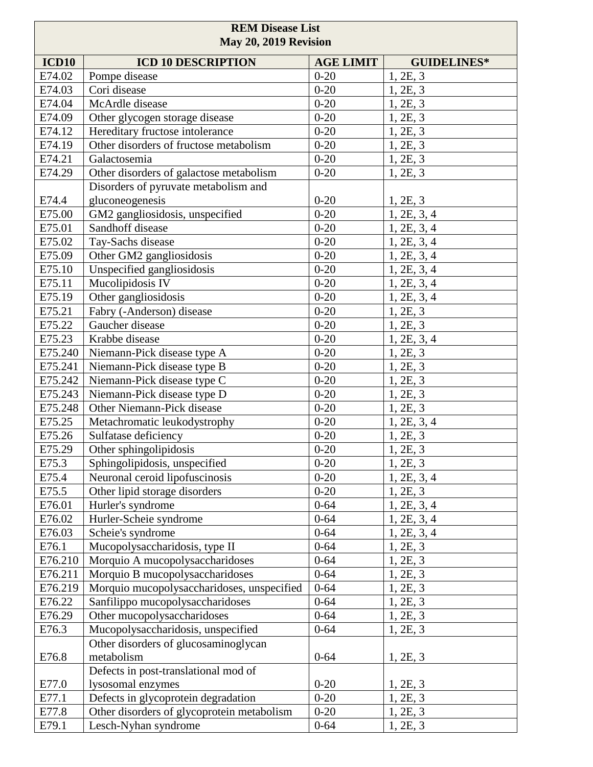| <b>REM Disease List</b><br>May 20, 2019 Revision |                                                                                |                      |                      |
|--------------------------------------------------|--------------------------------------------------------------------------------|----------------------|----------------------|
| <b>ICD10</b>                                     | <b>ICD 10 DESCRIPTION</b>                                                      | <b>AGE LIMIT</b>     | <b>GUIDELINES*</b>   |
| E74.02                                           | Pompe disease                                                                  | $0 - 20$             | 1, 2E, 3             |
| E74.03                                           | Cori disease                                                                   | $0 - 20$             | 1, 2E, 3             |
| E74.04                                           | McArdle disease                                                                | $0 - 20$             | 1, 2E, 3             |
| E74.09                                           | Other glycogen storage disease                                                 | $0 - 20$             | 1, 2E, 3             |
| E74.12                                           | Hereditary fructose intolerance                                                | $0 - 20$             | 1, 2E, 3             |
| E74.19                                           | Other disorders of fructose metabolism                                         | $0 - 20$             | 1, 2E, 3             |
| E74.21                                           | Galactosemia                                                                   | $0 - 20$             | 1, 2E, 3             |
| E74.29                                           | Other disorders of galactose metabolism                                        | $0 - 20$             | 1, 2E, 3             |
|                                                  | Disorders of pyruvate metabolism and                                           |                      |                      |
| E74.4                                            | gluconeogenesis                                                                | $0 - 20$             | 1, 2E, 3             |
| E75.00                                           | GM2 gangliosidosis, unspecified                                                | $0 - 20$             | 1, 2E, 3, 4          |
| E75.01                                           | Sandhoff disease                                                               | $0 - 20$             | 1, 2E, 3, 4          |
| E75.02                                           | Tay-Sachs disease                                                              | $0 - 20$             | 1, 2E, 3, 4          |
| E75.09                                           | Other GM2 gangliosidosis                                                       | $0 - 20$             | 1, 2E, 3, 4          |
| E75.10                                           | Unspecified gangliosidosis                                                     | $0 - 20$             | 1, 2E, 3, 4          |
| E75.11                                           | Mucolipidosis IV                                                               | $0 - 20$             | 1, 2E, 3, 4          |
| E75.19                                           | Other gangliosidosis                                                           | $0 - 20$             | 1, 2E, 3, 4          |
| E75.21                                           | Fabry (-Anderson) disease                                                      | $0 - 20$             | 1, 2E, 3             |
| E75.22                                           | Gaucher disease                                                                | $0 - 20$             | 1, 2E, 3             |
| E75.23                                           | Krabbe disease                                                                 | $0 - 20$             | 1, 2E, 3, 4          |
| E75.240                                          | Niemann-Pick disease type A                                                    | $0 - 20$             | 1, 2E, 3             |
| E75.241                                          | Niemann-Pick disease type B                                                    | $0 - 20$             | 1, 2E, 3             |
| E75.242                                          | Niemann-Pick disease type C                                                    | $0 - 20$             | 1, 2E, 3             |
| E75.243                                          | Niemann-Pick disease type D                                                    | $0 - 20$             | 1, 2E, 3             |
| E75.248                                          | Other Niemann-Pick disease                                                     | $0 - 20$             | 1, 2E, 3             |
| E75.25                                           | Metachromatic leukodystrophy                                                   | $0 - 20$             | 1, 2E, 3, 4          |
| E75.26                                           | Sulfatase deficiency                                                           | $0 - 20$             | 1, 2E, 3             |
| E75.29                                           | Other sphingolipidosis                                                         | $0 - 20$             | 1, 2E, 3             |
| E75.3                                            | Sphingolipidosis, unspecified                                                  | $0 - 20$             | 1, 2E, 3             |
| E75.4                                            | Neuronal ceroid lipofuscinosis                                                 | $0 - 20$             | 1, 2E, 3, 4          |
| E75.5                                            | Other lipid storage disorders                                                  | $0 - 20$             | 1, 2E, 3             |
| E76.01                                           | Hurler's syndrome                                                              | $0 - 64$             | 1, 2E, 3, 4          |
| E76.02                                           | Hurler-Scheie syndrome                                                         | $0 - 64$             | 1, 2E, 3, 4          |
| E76.03                                           | Scheie's syndrome                                                              | $0 - 64$<br>$0 - 64$ | 1, 2E, 3, 4          |
| E76.1                                            | Mucopolysaccharidosis, type II                                                 |                      | 1, 2E, 3             |
| E76.210                                          | Morquio A mucopolysaccharidoses                                                | $0 - 64$<br>$0 - 64$ | 1, 2E, 3             |
| E76.211<br>E76.219                               | Morquio B mucopolysaccharidoses                                                | $0 - 64$             | 1, 2E, 3             |
| E76.22                                           | Morquio mucopolysaccharidoses, unspecified<br>Sanfilippo mucopolysaccharidoses | $0 - 64$             | 1, 2E, 3<br>1, 2E, 3 |
| E76.29                                           | Other mucopolysaccharidoses                                                    | $0 - 64$             | 1, 2E, 3             |
| E76.3                                            | Mucopolysaccharidosis, unspecified                                             | $0 - 64$             | 1, 2E, 3             |
|                                                  | Other disorders of glucosaminoglycan                                           |                      |                      |
| E76.8                                            | metabolism                                                                     | $0 - 64$             | 1, 2E, 3             |
|                                                  | Defects in post-translational mod of                                           |                      |                      |
| E77.0                                            | lysosomal enzymes                                                              | $0 - 20$             | 1, 2E, 3             |
| E77.1                                            | Defects in glycoprotein degradation                                            | $0 - 20$             | 1, 2E, 3             |
| E77.8                                            | Other disorders of glycoprotein metabolism                                     | $0 - 20$             | 1, 2E, 3             |
| E79.1                                            | Lesch-Nyhan syndrome                                                           | $0 - 64$             | 1, 2E, 3             |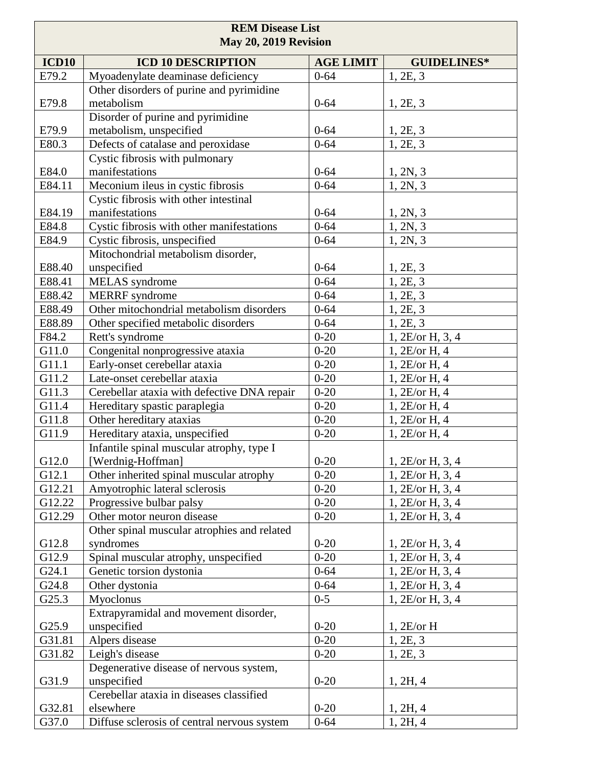| <b>REM Disease List</b><br>May 20, 2019 Revision |                                                         |                  |                    |
|--------------------------------------------------|---------------------------------------------------------|------------------|--------------------|
| <b>ICD10</b>                                     | <b>ICD 10 DESCRIPTION</b>                               | <b>AGE LIMIT</b> | <b>GUIDELINES*</b> |
| E79.2                                            | Myoadenylate deaminase deficiency                       | $0 - 64$         | 1, 2E, 3           |
|                                                  | Other disorders of purine and pyrimidine                |                  |                    |
| E79.8                                            | metabolism                                              | $0 - 64$         | 1, 2E, 3           |
|                                                  | Disorder of purine and pyrimidine                       |                  |                    |
| E79.9                                            | metabolism, unspecified                                 | $0 - 64$         | 1, 2E, 3           |
| E80.3                                            | Defects of catalase and peroxidase                      | $0 - 64$         | 1, 2E, 3           |
|                                                  | Cystic fibrosis with pulmonary                          |                  |                    |
| E84.0                                            | manifestations                                          | $0 - 64$         | 1, 2N, 3           |
| E84.11                                           | Meconium ileus in cystic fibrosis                       | $0 - 64$         | 1, 2N, 3           |
|                                                  | Cystic fibrosis with other intestinal                   |                  |                    |
| E84.19                                           | manifestations                                          | $0 - 64$         | 1, 2N, 3           |
| E84.8                                            | Cystic fibrosis with other manifestations               | $0 - 64$         | 1, 2N, 3           |
| E84.9                                            | Cystic fibrosis, unspecified                            | $0 - 64$         | 1, 2N, 3           |
|                                                  | Mitochondrial metabolism disorder,                      |                  |                    |
| E88.40                                           | unspecified                                             | $0 - 64$         | 1, 2E, 3           |
| E88.41                                           | MELAS syndrome                                          | $0 - 64$         | 1, 2E, 3           |
| E88.42                                           | <b>MERRF</b> syndrome                                   | $0 - 64$         | 1, 2E, 3           |
| E88.49                                           | Other mitochondrial metabolism disorders                | $0 - 64$         | 1, 2E, 3           |
| E88.89                                           | Other specified metabolic disorders                     | $0 - 64$         | 1, 2E, 3           |
| F84.2                                            | Rett's syndrome                                         | $0 - 20$         | 1, 2E/or H, 3, 4   |
| G11.0                                            | Congenital nonprogressive ataxia                        | $0 - 20$         | 1, 2E/or H, 4      |
| G11.1                                            | Early-onset cerebellar ataxia                           | $0 - 20$         | 1, 2E/or H, 4      |
| G11.2                                            | Late-onset cerebellar ataxia                            | $0 - 20$         | 1, 2E/or H, 4      |
| G11.3                                            | Cerebellar ataxia with defective DNA repair             | $0 - 20$         | 1, 2E/or H, 4      |
| G11.4                                            | Hereditary spastic paraplegia                           | $0 - 20$         | 1, 2E/or H, 4      |
| G11.8                                            | Other hereditary ataxias                                | $0 - 20$         | 1, 2E/or H, 4      |
| G11.9                                            | Hereditary ataxia, unspecified                          | $0 - 20$         | 1, 2E/or H, 4      |
|                                                  | Infantile spinal muscular atrophy, type I               |                  |                    |
| G12.0                                            | [Werdnig-Hoffman]                                       | $0 - 20$         | 1, 2E/or H, 3, 4   |
| G12.1                                            | Other inherited spinal muscular atrophy                 | $0 - 20$         | 1, 2E/or H, 3, 4   |
| G12.21                                           | Amyotrophic lateral sclerosis                           | $0 - 20$         | 1, 2E/or H, 3, 4   |
| G12.22                                           | Progressive bulbar palsy                                | $0 - 20$         | 1, 2E/or H, 3, 4   |
| G12.29                                           | Other motor neuron disease                              | $0 - 20$         | 1, 2E/or H, 3, 4   |
|                                                  | Other spinal muscular atrophies and related             |                  |                    |
| G12.8                                            | syndromes                                               | $0 - 20$         | 1, 2E/or H, 3, 4   |
| G12.9                                            | Spinal muscular atrophy, unspecified                    | $0 - 20$         | 1, 2E/or H, 3, 4   |
| G24.1                                            | Genetic torsion dystonia                                | $0 - 64$         | 1, 2E/or H, 3, 4   |
| G24.8                                            | Other dystonia                                          | $0 - 64$         | 1, 2E/or H, 3, 4   |
| G25.3                                            | Myoclonus                                               | $0 - 5$          | 1, 2E/or H, 3, 4   |
|                                                  | Extrapyramidal and movement disorder,                   |                  |                    |
| G25.9                                            | unspecified                                             | $0 - 20$         | 1, 2E/or H         |
| G31.81                                           | Alpers disease                                          | $0-20$           | 1, 2E, 3           |
| G31.82                                           | Leigh's disease                                         | $0 - 20$         | 1, 2E, 3           |
|                                                  | Degenerative disease of nervous system,                 |                  |                    |
| G31.9                                            | unspecified<br>Cerebellar ataxia in diseases classified | $0 - 20$         | 1, 2H, 4           |
| G32.81                                           | elsewhere                                               | $0 - 20$         | 1, 2H, 4           |
| G37.0                                            | Diffuse sclerosis of central nervous system             | $0 - 64$         | 1, 2H, 4           |
|                                                  |                                                         |                  |                    |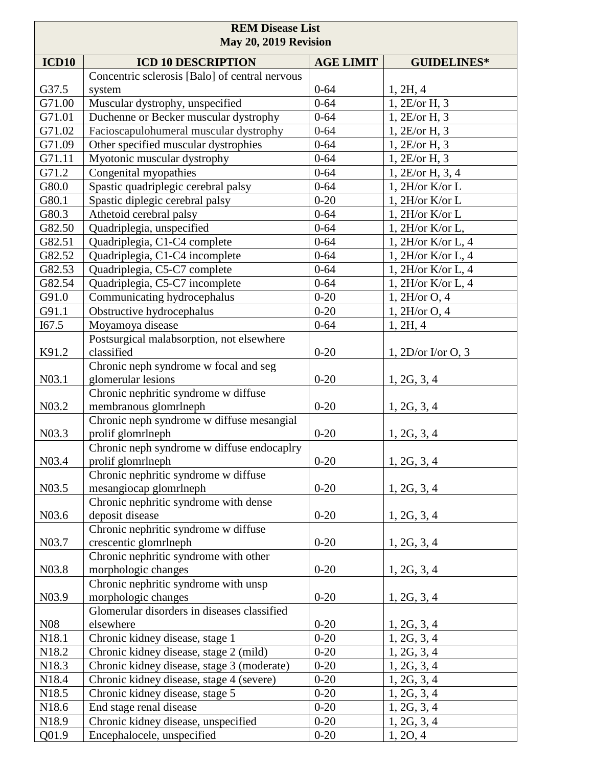| <b>REM Disease List</b><br>May 20, 2019 Revision |                                                                 |                  |                      |
|--------------------------------------------------|-----------------------------------------------------------------|------------------|----------------------|
| <b>ICD10</b>                                     | <b>ICD 10 DESCRIPTION</b>                                       | <b>AGE LIMIT</b> | <b>GUIDELINES*</b>   |
|                                                  | Concentric sclerosis [Balo] of central nervous                  |                  |                      |
| G37.5                                            | system                                                          | $0 - 64$         | 1, 2H, 4             |
| G71.00                                           | Muscular dystrophy, unspecified                                 | $0 - 64$         | 1, 2E/or H, 3        |
| G71.01                                           | Duchenne or Becker muscular dystrophy                           | $0 - 64$         | 1, 2E/or H, 3        |
| G71.02                                           | Facioscapulohumeral muscular dystrophy                          | $0 - 64$         | 1, 2E/or H, 3        |
| G71.09                                           | Other specified muscular dystrophies                            | $0 - 64$         | 1, 2E/or H, 3        |
| G71.11                                           | Myotonic muscular dystrophy                                     | $0 - 64$         | 1, 2E/or H, 3        |
| G71.2                                            | Congenital myopathies                                           | $0 - 64$         | 1, 2E/or H, 3, 4     |
| G80.0                                            | Spastic quadriplegic cerebral palsy                             | $0 - 64$         | 1, 2H/or K/or L      |
| G80.1                                            | Spastic diplegic cerebral palsy                                 | $0 - 20$         | 1, 2H/or K/or L      |
| G80.3                                            | Athetoid cerebral palsy                                         | $0 - 64$         | 1, 2H/or K/or L      |
| G82.50                                           | Quadriplegia, unspecified                                       | $0 - 64$         | 1, 2H/or K/or L,     |
| G82.51                                           | Quadriplegia, C1-C4 complete                                    | $0 - 64$         | 1, $2H/or K/or L, 4$ |
| G82.52                                           | Quadriplegia, C1-C4 incomplete                                  | $0 - 64$         | 1, 2H/or K/or L, 4   |
| G82.53                                           | Quadriplegia, C5-C7 complete                                    | $0 - 64$         | 1, $2H/or K/or L, 4$ |
| G82.54                                           | Quadriplegia, C5-C7 incomplete                                  | $0 - 64$         | 1, 2H/or K/or L, 4   |
| G91.0                                            | Communicating hydrocephalus                                     | $0 - 20$         | 1, 2H/or O, 4        |
| G91.1                                            | Obstructive hydrocephalus                                       | $0 - 20$         | 1, 2H/or O, 4        |
| I67.5                                            | Moyamoya disease                                                | $0 - 64$         | 1, 2H, 4             |
| K91.2                                            | Postsurgical malabsorption, not elsewhere<br>classified         | $0 - 20$         | $1, 2D/or$ I/or O, 3 |
| N03.1                                            | Chronic neph syndrome w focal and seg<br>glomerular lesions     | $0 - 20$         | 1, 2G, 3, 4          |
| N03.2                                            | Chronic nephritic syndrome w diffuse<br>membranous glomrlneph   | $0 - 20$         | 1, 2G, 3, 4          |
| N03.3                                            | Chronic neph syndrome w diffuse mesangial<br>prolif glomrlneph  | $0 - 20$         | 1, 2G, 3, 4          |
| N03.4                                            | Chronic neph syndrome w diffuse endocaplry<br>prolif glomrlneph | $0 - 20$         | 1, 2G, 3, 4          |
| N03.5                                            | Chronic nephritic syndrome w diffuse<br>mesangiocap glomrlneph  | $0 - 20$         | 1, 2G, 3, 4          |
| N03.6                                            | Chronic nephritic syndrome with dense<br>deposit disease        | $0 - 20$         | 1, 2G, 3, 4          |
| N03.7                                            | Chronic nephritic syndrome w diffuse<br>crescentic glomrlneph   | $0 - 20$         | 1, 2G, 3, 4          |
| N03.8                                            | Chronic nephritic syndrome with other<br>morphologic changes    | $0 - 20$         | 1, 2G, 3, 4          |
|                                                  | Chronic nephritic syndrome with unsp                            |                  |                      |
| N <sub>0</sub> 3.9                               | morphologic changes                                             | $0 - 20$         | 1, 2G, 3, 4          |
|                                                  | Glomerular disorders in diseases classified                     |                  |                      |
| N <sub>0</sub> 8                                 | elsewhere                                                       | $0 - 20$         | 1, 2G, 3, 4          |
| N <sub>1</sub> 8.1                               | Chronic kidney disease, stage 1                                 | $0 - 20$         | 1, 2G, 3, 4          |
| N18.2                                            | Chronic kidney disease, stage 2 (mild)                          | $0 - 20$         | 1, 2G, 3, 4          |
| N18.3                                            | Chronic kidney disease, stage 3 (moderate)                      | $0 - 20$         | 1, 2G, 3, 4          |
| N18.4                                            | Chronic kidney disease, stage 4 (severe)                        | $0 - 20$         | 1, 2G, 3, 4          |
| N18.5                                            | Chronic kidney disease, stage 5                                 | $0 - 20$         | 1, 2G, 3, 4          |
| N18.6                                            | End stage renal disease                                         | $0 - 20$         | 1, 2G, 3, 4          |
| N18.9                                            | Chronic kidney disease, unspecified                             | $0 - 20$         | 1, 2G, 3, 4          |
| Q01.9                                            | Encephalocele, unspecified                                      | $0 - 20$         | 1, 20, 4             |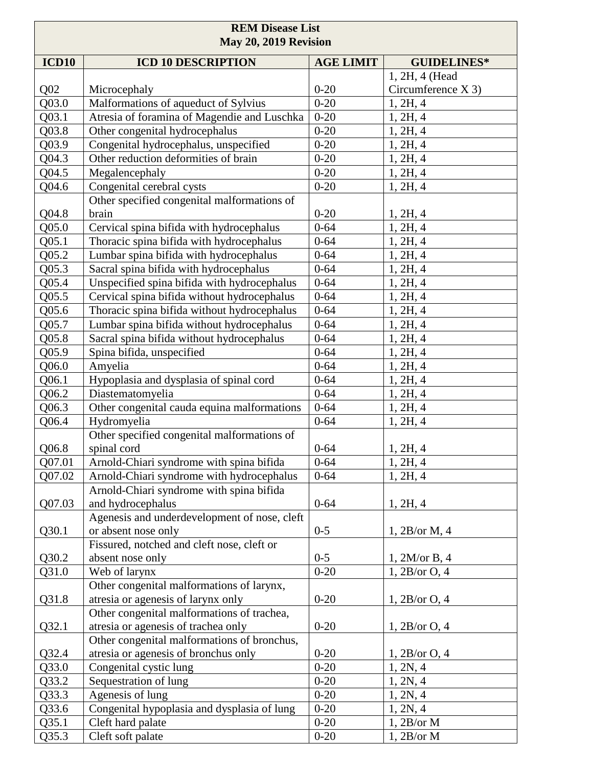| <b>REM Disease List</b><br>May 20, 2019 Revision |                                              |                  |                      |
|--------------------------------------------------|----------------------------------------------|------------------|----------------------|
| ICD10                                            | <b>ICD 10 DESCRIPTION</b>                    | <b>AGE LIMIT</b> | <b>GUIDELINES*</b>   |
|                                                  |                                              |                  | 1, 2H, 4 (Head       |
| Q <sub>02</sub>                                  | Microcephaly                                 | $0 - 20$         | Circumference $X$ 3) |
| Q03.0                                            | Malformations of aqueduct of Sylvius         | $0 - 20$         | 1, 2H, 4             |
| Q03.1                                            | Atresia of foramina of Magendie and Luschka  | $0 - 20$         | 1, 2H, 4             |
| Q03.8                                            | Other congenital hydrocephalus               | $0 - 20$         | 1, 2H, 4             |
| Q03.9                                            | Congenital hydrocephalus, unspecified        | $0 - 20$         | 1, 2H, 4             |
| Q04.3                                            | Other reduction deformities of brain         | $0 - 20$         | 1, 2H, 4             |
| Q04.5                                            | Megalencephaly                               | $0 - 20$         | 1, 2H, 4             |
| Q04.6                                            | Congenital cerebral cysts                    | $0 - 20$         | 1, 2H, 4             |
|                                                  | Other specified congenital malformations of  |                  |                      |
| Q04.8                                            | brain                                        | $0 - 20$         | 1, 2H, 4             |
| Q <sub>05.0</sub>                                | Cervical spina bifida with hydrocephalus     | $0 - 64$         | 1, 2H, 4             |
| Q <sub>05.1</sub>                                | Thoracic spina bifida with hydrocephalus     | $0 - 64$         | 1, 2H, 4             |
| Q05.2                                            | Lumbar spina bifida with hydrocephalus       | $0 - 64$         | 1, 2H, 4             |
| Q05.3                                            | Sacral spina bifida with hydrocephalus       | $0 - 64$         | 1, 2H, 4             |
| Q05.4                                            | Unspecified spina bifida with hydrocephalus  | $0 - 64$         | 1, 2H, 4             |
| $Q$ 05.5                                         | Cervical spina bifida without hydrocephalus  | $0 - 64$         | 1, 2H, 4             |
| Q05.6                                            | Thoracic spina bifida without hydrocephalus  | $0 - 64$         | 1, 2H, 4             |
| Q05.7                                            | Lumbar spina bifida without hydrocephalus    | $0 - 64$         | 1, 2H, 4             |
| Q05.8                                            | Sacral spina bifida without hydrocephalus    | $0 - 64$         | 1, 2H, 4             |
| Q05.9                                            | Spina bifida, unspecified                    | $0 - 64$         | 1, 2H, 4             |
| Q06.0                                            | Amyelia                                      | $0 - 64$         | 1, 2H, 4             |
| Q06.1                                            | Hypoplasia and dysplasia of spinal cord      | $0 - 64$         | 1, 2H, 4             |
| Q06.2                                            | Diastematomyelia                             | $0 - 64$         | 1, 2H, 4             |
| Q06.3                                            | Other congenital cauda equina malformations  | $0 - 64$         | 1, 2H, 4             |
| Q06.4                                            | Hydromyelia                                  | $0 - 64$         | 1, 2H, 4             |
|                                                  | Other specified congenital malformations of  |                  |                      |
| Q06.8                                            | spinal cord                                  | $0 - 64$         | 1, 2H, 4             |
| Q07.01                                           | Arnold-Chiari syndrome with spina bifida     | $0 - 64$         | 1, 2H, 4             |
| Q07.02                                           | Arnold-Chiari syndrome with hydrocephalus    | $0 - 64$         | 1, 2H, 4             |
|                                                  | Arnold-Chiari syndrome with spina bifida     |                  |                      |
| Q07.03                                           | and hydrocephalus                            | $0 - 64$         | 1, 2H, 4             |
|                                                  | Agenesis and underdevelopment of nose, cleft |                  |                      |
| Q30.1                                            | or absent nose only                          | $0 - 5$          | 1, 2B/or M, 4        |
|                                                  | Fissured, notched and cleft nose, cleft or   |                  |                      |
| Q30.2                                            | absent nose only                             | $0 - 5$          | 1, 2M/or B, 4        |
| Q31.0                                            | Web of larynx                                | $0 - 20$         | 1, 2B/or O, 4        |
|                                                  | Other congenital malformations of larynx,    |                  |                      |
| Q31.8                                            | atresia or agenesis of larynx only           | $0 - 20$         | 1, 2B/or O, 4        |
|                                                  | Other congenital malformations of trachea,   |                  |                      |
| Q32.1                                            | atresia or agenesis of trachea only          | $0 - 20$         | 1, 2B/or O, 4        |
|                                                  | Other congenital malformations of bronchus,  |                  |                      |
| Q32.4                                            | atresia or agenesis of bronchus only         | $0 - 20$         | 1, 2B/or O, 4        |
| Q33.0                                            | Congenital cystic lung                       | $0 - 20$         | 1, 2N, 4             |
| Q33.2                                            | Sequestration of lung                        | $0 - 20$         | 1, 2N, 4             |
| Q33.3                                            | Agenesis of lung                             | $0 - 20$         | 1, 2N, 4             |
| Q33.6                                            | Congenital hypoplasia and dysplasia of lung  | $0 - 20$         | 1, 2N, 4             |
| Q35.1                                            | Cleft hard palate                            | $0 - 20$         | 1, 2B/or M           |
| Q35.3                                            | Cleft soft palate                            | $0 - 20$         | 1,2B/or M            |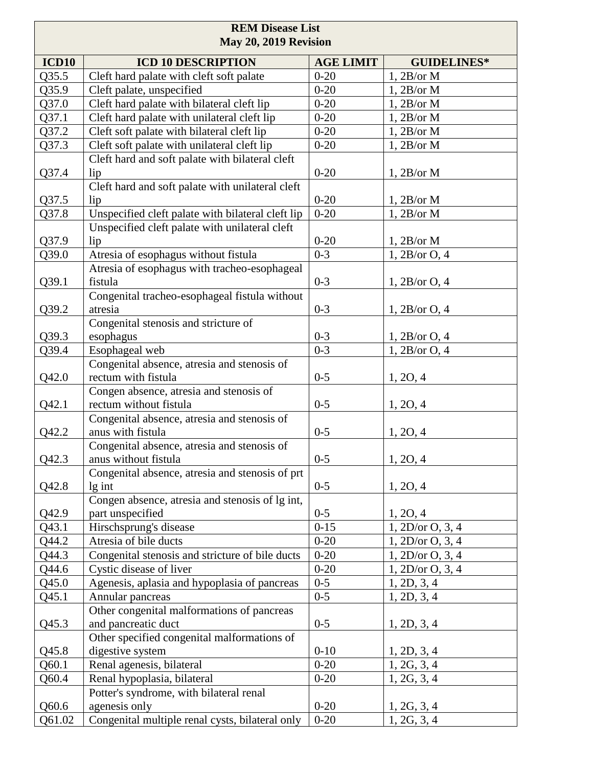| <b>REM Disease List</b><br>May 20, 2019 Revision |                                                                        |                  |                     |
|--------------------------------------------------|------------------------------------------------------------------------|------------------|---------------------|
| <b>ICD10</b>                                     | <b>ICD 10 DESCRIPTION</b>                                              | <b>AGE LIMIT</b> | <b>GUIDELINES*</b>  |
| Q35.5                                            | Cleft hard palate with cleft soft palate                               | $0 - 20$         | 1, 2B/or M          |
| Q35.9                                            | Cleft palate, unspecified                                              | $0 - 20$         | 1, 2B/or M          |
| Q37.0                                            | Cleft hard palate with bilateral cleft lip                             | $0 - 20$         | 1, 2B/or M          |
| Q37.1                                            | Cleft hard palate with unilateral cleft lip                            | $0 - 20$         | 1, 2B/or M          |
| Q37.2                                            | Cleft soft palate with bilateral cleft lip                             | $0 - 20$         | 1, 2B/or M          |
| Q37.3                                            | Cleft soft palate with unilateral cleft lip                            | $0 - 20$         | 1, 2B/or M          |
|                                                  | Cleft hard and soft palate with bilateral cleft                        |                  |                     |
| Q37.4                                            | lip                                                                    | $0 - 20$         | 1, 2B/or M          |
|                                                  | Cleft hard and soft palate with unilateral cleft                       |                  |                     |
| Q37.5                                            | lip                                                                    | $0 - 20$         | 1, 2B/or M          |
| Q37.8                                            | Unspecified cleft palate with bilateral cleft lip                      | $0 - 20$         | 1, 2B/or M          |
|                                                  | Unspecified cleft palate with unilateral cleft                         |                  |                     |
| Q37.9                                            | lip                                                                    | $0 - 20$         | 1, 2B/or M          |
| Q39.0                                            | Atresia of esophagus without fistula                                   | $0 - 3$          | 1, 2B/or O, 4       |
|                                                  | Atresia of esophagus with tracheo-esophageal                           |                  |                     |
| Q39.1                                            | fistula                                                                | $0 - 3$          | 1, 2B/or O, 4       |
|                                                  | Congenital tracheo-esophageal fistula without                          |                  |                     |
| Q39.2                                            | atresia                                                                | $0 - 3$          | 1, 2B/or O, 4       |
|                                                  | Congenital stenosis and stricture of                                   |                  |                     |
| Q39.3                                            | esophagus                                                              | $0 - 3$          | 1, 2B/or O, 4       |
| Q39.4                                            | Esophageal web                                                         | $0 - 3$          | $1, 2B$ /or O, 4    |
|                                                  | Congenital absence, atresia and stenosis of                            |                  |                     |
| Q42.0                                            | rectum with fistula                                                    | $0 - 5$          | 1, 20, 4            |
|                                                  | Congen absence, atresia and stenosis of                                |                  |                     |
| Q42.1                                            | rectum without fistula                                                 | $0 - 5$          | 1, 2O, 4            |
|                                                  | Congenital absence, atresia and stenosis of                            |                  |                     |
| Q42.2                                            | anus with fistula                                                      | $0 - 5$          | 1, 2O, 4            |
|                                                  | Congenital absence, atresia and stenosis of                            |                  |                     |
| Q42.3                                            | anus without fistula                                                   | $0 - 5$          | 1, 2O, 4            |
|                                                  | Congenital absence, atresia and stenosis of prt                        |                  |                     |
| Q42.8                                            | $lg$ int                                                               | $0 - 5$          | 1, 2O, 4            |
|                                                  | Congen absence, atresia and stenosis of lg int,                        |                  |                     |
| Q42.9                                            | part unspecified                                                       | $0 - 5$          | 1, 20, 4            |
| Q43.1                                            | Hirschsprung's disease                                                 | $0 - 15$         | 1, 2D/or 0, 3, 4    |
| Q44.2                                            | Atresia of bile ducts                                                  | $0 - 20$         | 1, 2D/or $O$ , 3, 4 |
| Q44.3                                            | Congenital stenosis and stricture of bile ducts                        | $0 - 20$         | 1, 2D/or 0, 3, 4    |
| Q44.6                                            | Cystic disease of liver                                                | $0 - 20$         | 1, 2D/or 0, 3, 4    |
| Q45.0                                            | Agenesis, aplasia and hypoplasia of pancreas                           | $0 - 5$          | 1, 2D, 3, 4         |
| Q45.1                                            | Annular pancreas                                                       | $0 - 5$          | 1, 2D, 3, 4         |
|                                                  | Other congenital malformations of pancreas                             |                  |                     |
| Q45.3                                            | and pancreatic duct                                                    | $0 - 5$          | 1, 2D, 3, 4         |
|                                                  | Other specified congenital malformations of                            |                  |                     |
| Q45.8                                            | digestive system                                                       | $0-10$           | 1, 2D, 3, 4         |
| Q60.1                                            | Renal agenesis, bilateral                                              | $0 - 20$         | 1, 2G, 3, 4         |
| Q60.4                                            | Renal hypoplasia, bilateral<br>Potter's syndrome, with bilateral renal | $0 - 20$         | 1, 2G, 3, 4         |
| Q60.6                                            | agenesis only                                                          | $0 - 20$         | 1, 2G, 3, 4         |
| Q61.02                                           | Congenital multiple renal cysts, bilateral only                        | $0 - 20$         | 1, 2G, 3, 4         |
|                                                  |                                                                        |                  |                     |